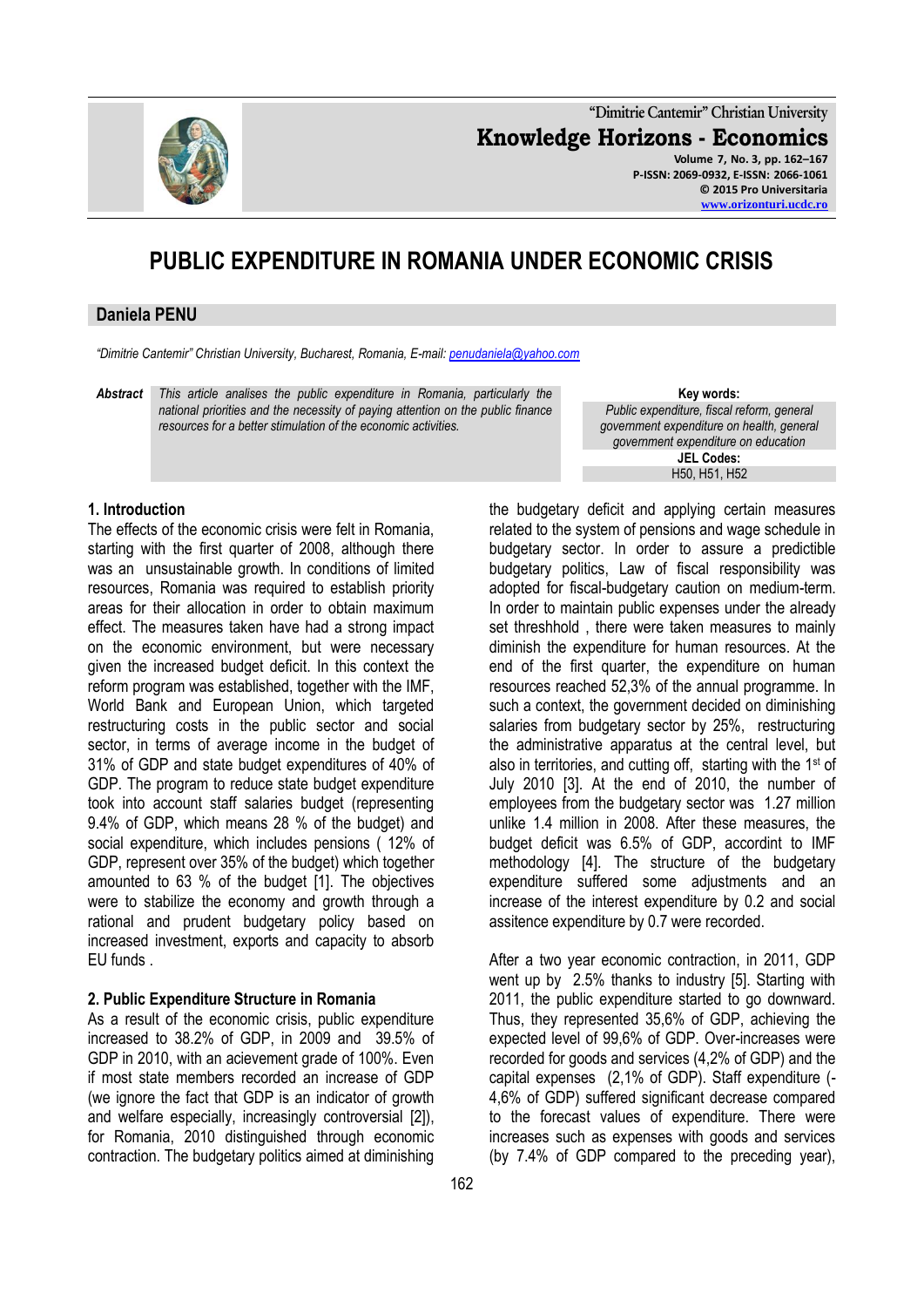

**"Dimitrie Cantemir" Christian University Knowledge Horizons - Economics Volume 7, No. 3, pp. 162–167 P-ISSN: 2069-0932, E-ISSN: 2066-1061 © 2015 Pro Universitaria [www.orizonturi.ucdc.ro](http://www.orizonturi.ucdc.ro/)**

# **PUBLIC EXPENDITURE IN ROMANIA UNDER ECONOMIC CRISIS**

#### **Daniela PENU**

*"Dimitrie Cantemir" Christian University, Bucharest, Romania, E-mail[: penudaniela@yahoo.com](mailto:penudaniela@yahoo.com)*

*Abstract This article analises the public expenditure in Romania, particularly the national priorities and the necessity of paying attention on the public finance resources for a better stimulation of the economic activities.*

**Key words:** *Public expenditure, fiscal reform, general government expenditure on health, general government expenditure on education* **JEL Codes:** H50, H51, H52

#### **1. Introduction**

The effects of the economic crisis were felt in Romania, starting with the first quarter of 2008, although there was an unsustainable growth. In conditions of limited resources, Romania was required to establish priority areas for their allocation in order to obtain maximum effect. The measures taken have had a strong impact on the economic environment, but were necessary given the increased budget deficit. In this context the reform program was established, together with the IMF, World Bank and European Union, which targeted restructuring costs in the public sector and social sector, in terms of average income in the budget of 31% of GDP and state budget expenditures of 40% of GDP. The program to reduce state budget expenditure took into account staff salaries budget (representing 9.4% of GDP, which means 28 % of the budget) and social expenditure, which includes pensions ( 12% of GDP, represent over 35% of the budget) which together amounted to 63 % of the budget [1]. The objectives were to stabilize the economy and growth through a rational and prudent budgetary policy based on increased investment, exports and capacity to absorb EU funds .

#### **2. Public Expenditure Structure in Romania**

As a result of the economic crisis, public expenditure increased to 38.2% of GDP, in 2009 and 39.5% of GDP in 2010, with an acievement grade of 100%. Even if most state members recorded an increase of GDP (we ignore the fact that GDP is an indicator of growth and welfare especially, increasingly controversial [2]), for Romania, 2010 distinguished through economic contraction. The budgetary politics aimed at diminishing

the budgetary deficit and applying certain measures related to the system of pensions and wage schedule in budgetary sector. In order to assure a predictible budgetary politics, Law of fiscal responsibility was adopted for fiscal-budgetary caution on medium-term. In order to maintain public expenses under the already set threshhold , there were taken measures to mainly diminish the expenditure for human resources. At the end of the first quarter, the expenditure on human resources reached 52,3% of the annual programme. In such a context, the government decided on diminishing salaries from budgetary sector by 25%, restructuring the administrative apparatus at the central level, but also in territories, and cutting off, starting with the 1<sup>st</sup> of July 2010 [3]. At the end of 2010, the number of employees from the budgetary sector was 1.27 million unlike 1.4 million in 2008. After these measures, the budget deficit was 6.5% of GDP, accordint to IMF methodology [4]. The structure of the budgetary expenditure suffered some adjustments and an increase of the interest expenditure by 0.2 and social assitence expenditure by 0.7 were recorded.

After a two year economic contraction, in 2011, GDP went up by 2.5% thanks to industry [5]. Starting with 2011, the public expenditure started to go downward. Thus, they represented 35,6% of GDP, achieving the expected level of 99,6% of GDP. Over-increases were recorded for goods and services (4,2% of GDP) and the capital expenses (2,1% of GDP). Staff expenditure (- 4,6% of GDP) suffered significant decrease compared to the forecast values of expenditure. There were increases such as expenses with goods and services (by 7.4% of GDP compared to the preceding year),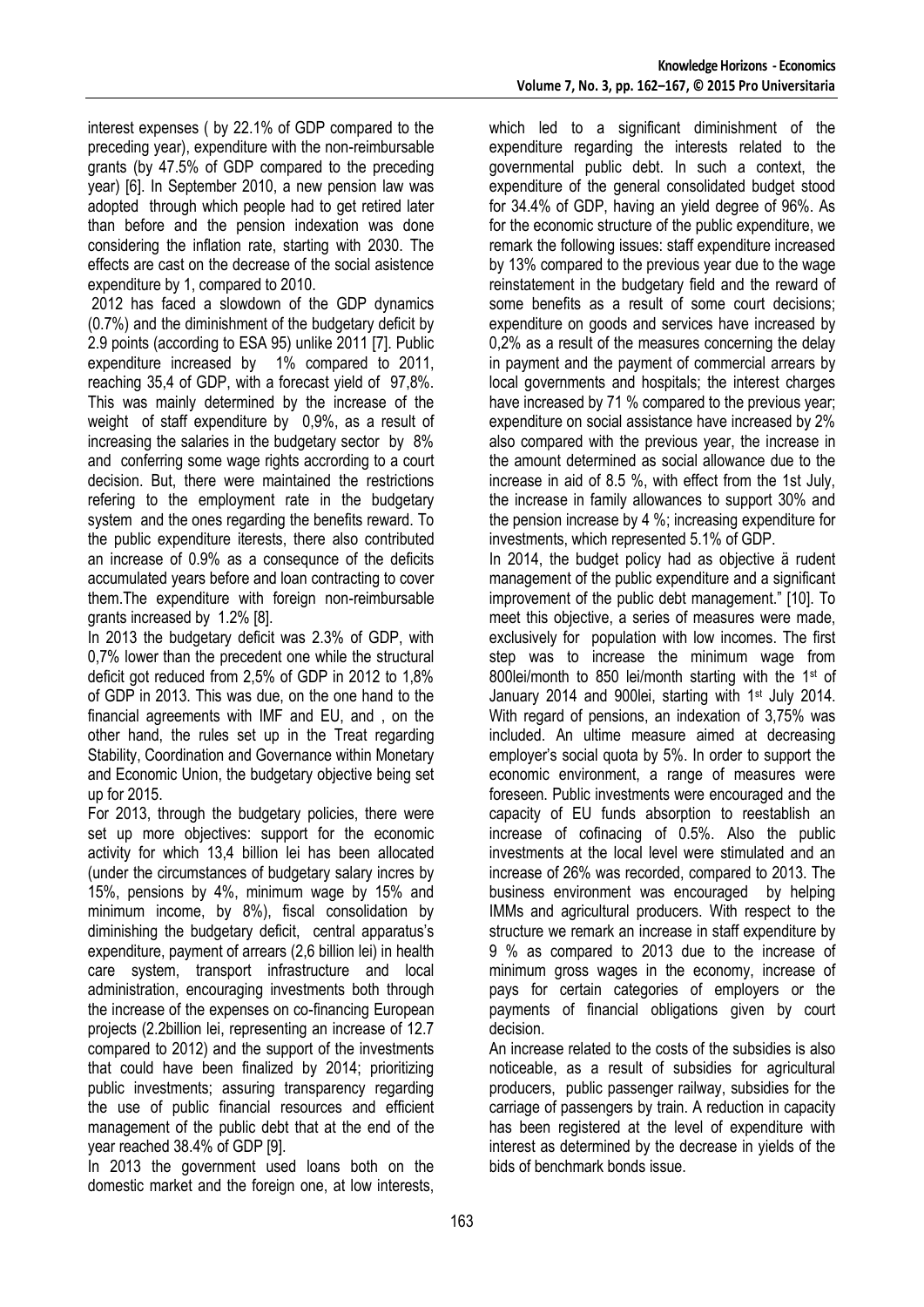interest expenses ( by 22.1% of GDP compared to the preceding year), expenditure with the non-reimbursable grants (by 47.5% of GDP compared to the preceding year) [6]. In September 2010, a new pension law was adopted through which people had to get retired later than before and the pension indexation was done considering the inflation rate, starting with 2030. The effects are cast on the decrease of the social asistence expenditure by 1, compared to 2010.

2012 has faced a slowdown of the GDP dynamics (0.7%) and the diminishment of the budgetary deficit by 2.9 points (according to ESA 95) unlike 2011 [7]. Public expenditure increased by 1% compared to 2011, reaching 35,4 of GDP, with a forecast yield of 97,8%. This was mainly determined by the increase of the weight of staff expenditure by 0,9%, as a result of increasing the salaries in the budgetary sector by 8% and conferring some wage rights accrording to a court decision. But, there were maintained the restrictions refering to the employment rate in the budgetary system and the ones regarding the benefits reward. To the public expenditure iterests, there also contributed an increase of 0.9% as a consequnce of the deficits accumulated years before and loan contracting to cover them.The expenditure with foreign non-reimbursable grants increased by 1.2% [8].

In 2013 the budgetary deficit was 2.3% of GDP, with 0,7% lower than the precedent one while the structural deficit got reduced from 2,5% of GDP in 2012 to 1,8% of GDP in 2013. This was due, on the one hand to the financial agreements with IMF and EU, and , on the other hand, the rules set up in the Treat regarding Stability, Coordination and Governance within Monetary and Economic Union, the budgetary objective being set up for 2015.

For 2013, through the budgetary policies, there were set up more objectives: support for the economic activity for which 13,4 billion lei has been allocated (under the circumstances of budgetary salary incres by 15%, pensions by 4%, minimum wage by 15% and minimum income, by 8%), fiscal consolidation by diminishing the budgetary deficit, central apparatus's expenditure, payment of arrears (2,6 billion lei) in health care system, transport infrastructure and local administration, encouraging investments both through the increase of the expenses on co-financing European projects (2.2billion lei, representing an increase of 12.7 compared to 2012) and the support of the investments that could have been finalized by 2014; prioritizing public investments; assuring transparency regarding the use of public financial resources and efficient management of the public debt that at the end of the year reached 38.4% of GDP [9].

In 2013 the government used loans both on the domestic market and the foreign one, at low interests, which led to a significant diminishment of the expenditure regarding the interests related to the governmental public debt. In such a context, the expenditure of the general consolidated budget stood for 34.4% of GDP, having an yield degree of 96%. As for the economic structure of the public expenditure, we remark the following issues: staff expenditure increased by 13% compared to the previous year due to the wage reinstatement in the budgetary field and the reward of some benefits as a result of some court decisions; expenditure on goods and services have increased by 0,2% as a result of the measures concerning the delay in payment and the payment of commercial arrears by local governments and hospitals; the interest charges have increased by 71 % compared to the previous year; expenditure on social assistance have increased by 2% also compared with the previous year, the increase in the amount determined as social allowance due to the increase in aid of 8.5 %, with effect from the 1st July, the increase in family allowances to support 30% and the pension increase by 4 %; increasing expenditure for investments, which represented 5.1% of GDP.

In 2014, the budget policy had as objective ä rudent management of the public expenditure and a significant improvement of the public debt management." [10]. To meet this objective, a series of measures were made, exclusively for population with low incomes. The first step was to increase the minimum wage from 800lei/month to 850 lei/month starting with the 1st of January 2014 and 900lei, starting with 1<sup>st</sup> July 2014. With regard of pensions, an indexation of 3,75% was included. An ultime measure aimed at decreasing employer's social quota by 5%. In order to support the economic environment, a range of measures were foreseen. Public investments were encouraged and the capacity of EU funds absorption to reestablish an increase of cofinacing of 0.5%. Also the public investments at the local level were stimulated and an increase of 26% was recorded, compared to 2013. The business environment was encouraged by helping IMMs and agricultural producers. With respect to the structure we remark an increase in staff expenditure by 9 % as compared to 2013 due to the increase of minimum gross wages in the economy, increase of pays for certain categories of employers or the payments of financial obligations given by court decision.

An increase related to the costs of the subsidies is also noticeable, as a result of subsidies for agricultural producers, public passenger railway, subsidies for the carriage of passengers by train. A reduction in capacity has been registered at the level of expenditure with interest as determined by the decrease in yields of the bids of benchmark bonds issue.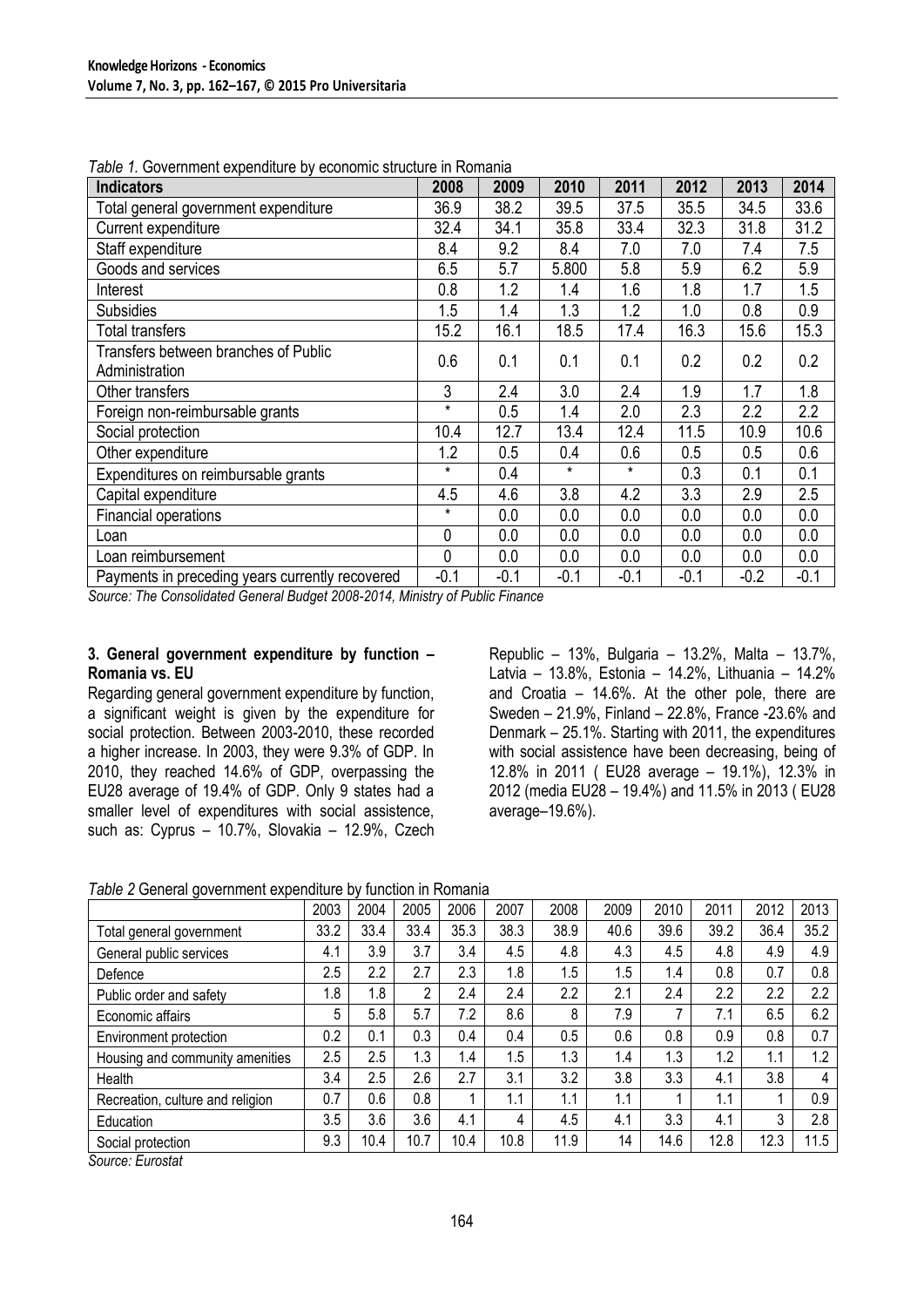| . 1<br><b>Indicators</b>                               | 2008    | 2009   | 2010    | 2011    | 2012   | 2013   | 2014   |
|--------------------------------------------------------|---------|--------|---------|---------|--------|--------|--------|
| Total general government expenditure                   | 36.9    | 38.2   | 39.5    | 37.5    | 35.5   | 34.5   | 33.6   |
| Current expenditure                                    | 32.4    | 34.1   | 35.8    | 33.4    | 32.3   | 31.8   | 31.2   |
| Staff expenditure                                      | 8.4     | 9.2    | 8.4     | 7.0     | 7.0    | 7.4    | 7.5    |
| Goods and services                                     | 6.5     | 5.7    | 5.800   | 5.8     | 5.9    | 6.2    | 5.9    |
| Interest                                               | 0.8     | 1.2    | 1.4     | 1.6     | 1.8    | 1.7    | 1.5    |
| <b>Subsidies</b>                                       | 1.5     | 1.4    | 1.3     | 1.2     | 1.0    | 0.8    | 0.9    |
| <b>Total transfers</b>                                 | 15.2    | 16.1   | 18.5    | 17.4    | 16.3   | 15.6   | 15.3   |
| Transfers between branches of Public<br>Administration | 0.6     | 0.1    | 0.1     | 0.1     | 0.2    | 0.2    | 0.2    |
| Other transfers                                        | 3       | 2.4    | 3.0     | 2.4     | 1.9    | 1.7    | 1.8    |
| Foreign non-reimbursable grants                        | $\star$ | 0.5    | 1.4     | 2.0     | 2.3    | 2.2    | 2.2    |
| Social protection                                      | 10.4    | 12.7   | 13.4    | 12.4    | 11.5   | 10.9   | 10.6   |
| Other expenditure                                      | 1.2     | 0.5    | 0.4     | 0.6     | 0.5    | 0.5    | 0.6    |
| Expenditures on reimbursable grants                    | *       | 0.4    | $\star$ | $\star$ | 0.3    | 0.1    | 0.1    |
| Capital expenditure                                    | 4.5     | 4.6    | 3.8     | 4.2     | 3.3    | 2.9    | 2.5    |
| Financial operations                                   | *       | 0.0    | 0.0     | 0.0     | 0.0    | 0.0    | 0.0    |
| Loan                                                   | 0       | 0.0    | 0.0     | 0.0     | 0.0    | 0.0    | 0.0    |
| Loan reimbursement                                     | 0       | 0.0    | 0.0     | 0.0     | 0.0    | 0.0    | 0.0    |
| Payments in preceding years currently recovered        | $-0.1$  | $-0.1$ | $-0.1$  | $-0.1$  | $-0.1$ | $-0.2$ | $-0.1$ |

*Table 1.* Government expenditure by economic structure in Romania

*Source: The Consolidated General Budget 2008-2014, Ministry of Public Finance*

#### **3. General government expenditure by function – Romania vs. EU**

Regarding general government expenditure by function, a significant weight is given by the expenditure for social protection. Between 2003-2010, these recorded a higher increase. In 2003, they were 9.3% of GDP. In 2010, they reached 14.6% of GDP, overpassing the EU28 average of 19.4% of GDP. Only 9 states had a smaller level of expenditures with social assistence, such as: Cyprus – 10.7%, Slovakia – 12.9%, Czech Republic – 13%, Bulgaria – 13.2%, Malta – 13.7%, Latvia – 13.8%, Estonia – 14.2%, Lithuania – 14.2% and Croatia – 14.6%. At the other pole, there are Sweden – 21.9%, Finland – 22.8%, France -23.6% and Denmark – 25.1%. Starting with 2011, the expenditures with social assistence have been decreasing, being of 12.8% in 2011 ( EU28 average – 19.1%), 12.3% in 2012 (media EU28 – 19.4%) and 11.5% in 2013 ( EU28 average–19.6%).

### *Table 2* General government expenditure by function in Romania

|                                  | 2003 | 2004 | 2005           | 2006 | 2007 | 2008 | 2009 | 2010 | 2011 | 2012 | 2013 |
|----------------------------------|------|------|----------------|------|------|------|------|------|------|------|------|
| Total general government         | 33.2 | 33.4 | 33.4           | 35.3 | 38.3 | 38.9 | 40.6 | 39.6 | 39.2 | 36.4 | 35.2 |
| General public services          | 4.1  | 3.9  | 3.7            | 3.4  | 4.5  | 4.8  | 4.3  | 4.5  | 4.8  | 4.9  | 4.9  |
| Defence                          | 2.5  | 2.2  | 2.7            | 2.3  | 1.8  | 1.5  | 1.5  | 1.4  | 0.8  | 0.7  | 0.8  |
| Public order and safety          | 1.8  | 1.8  | $\overline{2}$ | 2.4  | 2.4  | 2.2  | 2.1  | 2.4  | 2.2  | 2.2  | 2.2  |
| Economic affairs                 | 5    | 5.8  | 5.7            | 7.2  | 8.6  | 8    | 7.9  |      | 7.1  | 6.5  | 6.2  |
| Environment protection           | 0.2  | 0.1  | 0.3            | 0.4  | 0.4  | 0.5  | 0.6  | 0.8  | 0.9  | 0.8  | 0.7  |
| Housing and community amenities  | 2.5  | 2.5  | 1.3            | 1.4  | 1.5  | 1.3  | 1.4  | 1.3  | 1.2  | 1.1  | 1.2  |
| Health                           | 3.4  | 2.5  | 2.6            | 2.7  | 3.1  | 3.2  | 3.8  | 3.3  | 4.1  | 3.8  | 4    |
| Recreation, culture and religion | 0.7  | 0.6  | 0.8            |      | 1.1  | 1.1  | 1.1  |      | 1.1  |      | 0.9  |
| Education                        | 3.5  | 3.6  | 3.6            | 4.1  | 4    | 4.5  | 4.1  | 3.3  | 4.1  | 3    | 2.8  |
| Social protection                | 9.3  | 10.4 | 10.7           | 10.4 | 10.8 | 11.9 | 14   | 14.6 | 12.8 | 12.3 | 11.5 |

*Source: Eurostat*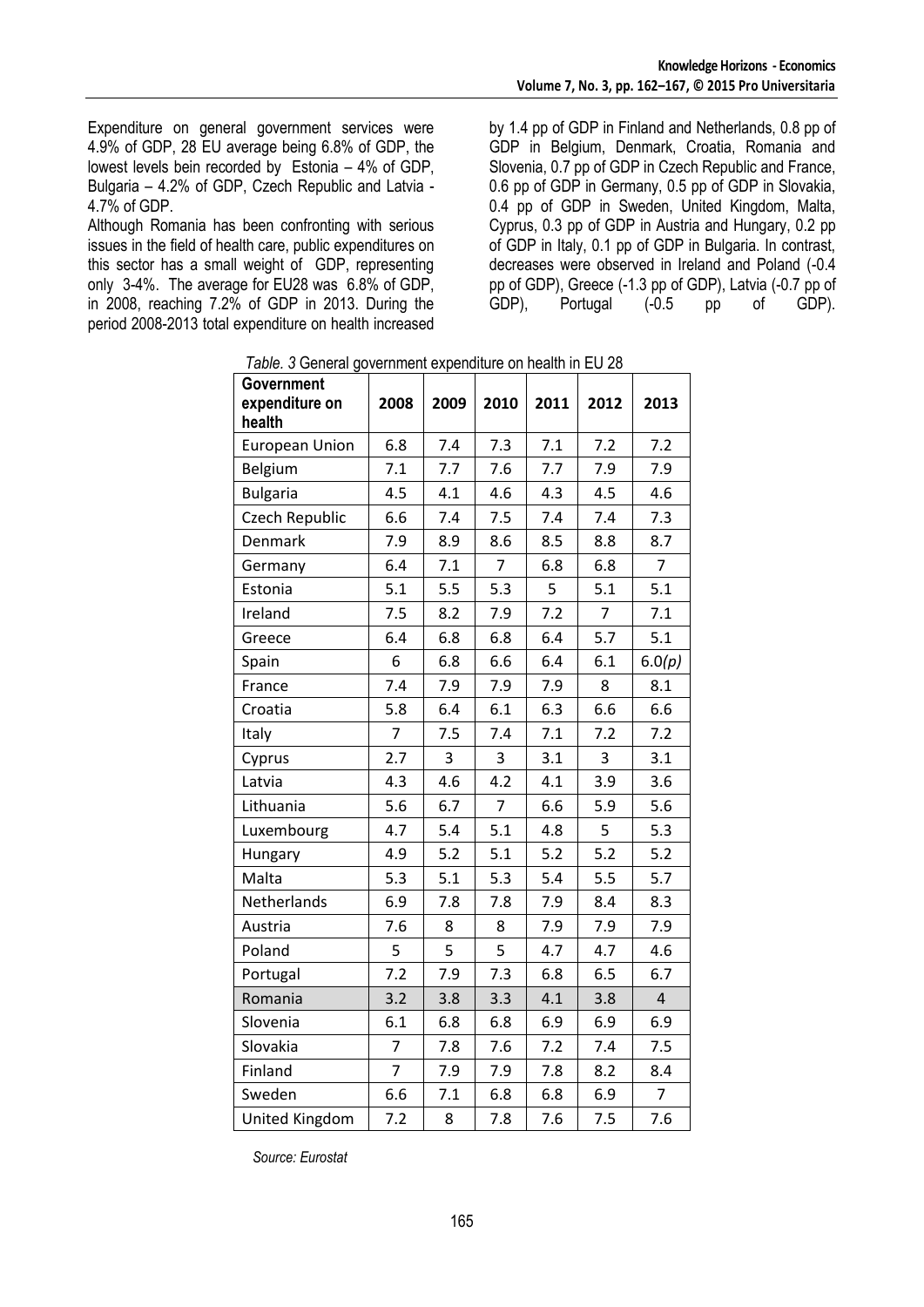Expenditure on general government services were 4.9% of GDP, 28 EU average being 6.8% of GDP, the lowest levels bein recorded by Estonia – 4% of GDP, Bulgaria – 4.2% of GDP, Czech Republic and Latvia - 4.7% of GDP.

Although Romania has been confronting with serious issues in the field of health care, public expenditures on this sector has a small weight of GDP, representing only 3-4%. The average for EU28 was 6.8% of GDP, in 2008, reaching 7.2% of GDP in 2013. During the period 2008-2013 total expenditure on health increased

by 1.4 pp of GDP in Finland and Netherlands, 0.8 pp of GDP in Belgium, Denmark, Croatia, Romania and Slovenia, 0.7 pp of GDP in Czech Republic and France, 0.6 pp of GDP in Germany, 0.5 pp of GDP in Slovakia, 0.4 pp of GDP in Sweden, United Kingdom, Malta, Cyprus, 0.3 pp of GDP in Austria and Hungary, 0.2 pp of GDP in Italy, 0.1 pp of GDP in Bulgaria. In contrast, decreases were observed in Ireland and Poland (-0.4 pp of GDP), Greece (-1.3 pp of GDP), Latvia (-0.7 pp of Portugal

| <i>Table. 3</i> General government expenditure on nealth in EU 28 |                |                |                |      |                |                |  |  |
|-------------------------------------------------------------------|----------------|----------------|----------------|------|----------------|----------------|--|--|
| <b>Government</b><br>expenditure on                               | 2008           | 2009           | 2010           | 2011 | 2012           | 2013           |  |  |
| health                                                            |                |                |                |      |                |                |  |  |
| <b>European Union</b>                                             | 6.8            | 7.4            | 7.3            | 7.1  | 7.2            | 7.2            |  |  |
| Belgium                                                           | 7.1            | 7.7            | 7.6            | 7.7  | 7.9            | 7.9            |  |  |
| <b>Bulgaria</b>                                                   | 4.5            | 4.1            | 4.6            | 4.3  | 4.5            | 4.6            |  |  |
| Czech Republic                                                    | 6.6            | 7.4            | 7.5            | 7.4  | 7.4            | 7.3            |  |  |
| Denmark                                                           | 7.9            | 8.9            | 8.6            | 8.5  | 8.8            | 8.7            |  |  |
| Germany                                                           | 6.4            | 7.1            | $\overline{7}$ | 6.8  | 6.8            | $\overline{7}$ |  |  |
| Estonia                                                           | 5.1            | 5.5            | 5.3            | 5    | 5.1            | 5.1            |  |  |
| Ireland                                                           | 7.5            | 8.2            | 7.9            | 7.2  | $\overline{7}$ | 7.1            |  |  |
| Greece                                                            | 6.4            | 6.8            | 6.8            | 6.4  | 5.7            | 5.1            |  |  |
| Spain                                                             | 6              | 6.8            | 6.6            | 6.4  | 6.1            | 6.0(p)         |  |  |
| France                                                            | 7.4            | 7.9            | 7.9            | 7.9  | 8              | 8.1            |  |  |
| Croatia                                                           | 5.8            | 6.4            | 6.1            | 6.3  | 6.6            | 6.6            |  |  |
| Italy                                                             | $\overline{7}$ | 7.5            | 7.4            | 7.1  | 7.2            | 7.2            |  |  |
| Cyprus                                                            | 2.7            | $\overline{3}$ | 3              | 3.1  | 3              | 3.1            |  |  |
| Latvia                                                            | 4.3            | 4.6            | 4.2            | 4.1  | 3.9            | 3.6            |  |  |
| Lithuania                                                         | 5.6            | 6.7            | 7              | 6.6  | 5.9            | 5.6            |  |  |
| Luxembourg                                                        | 4.7            | 5.4            | 5.1            | 4.8  | 5              | 5.3            |  |  |
| Hungary                                                           | 4.9            | 5.2            | 5.1            | 5.2  | 5.2            | 5.2            |  |  |
| Malta                                                             | 5.3            | 5.1            | 5.3            | 5.4  | 5.5            | 5.7            |  |  |
| Netherlands                                                       | 6.9            | 7.8            | 7.8            | 7.9  | 8.4            | 8.3            |  |  |
| Austria                                                           | 7.6            | 8              | 8              | 7.9  | 7.9            | 7.9            |  |  |
| Poland                                                            | 5              | 5              | 5              | 4.7  | 4.7            | 4.6            |  |  |
| Portugal                                                          | 7.2            | 7.9            | 7.3            | 6.8  | 6.5            | 6.7            |  |  |
| Romania                                                           | 3.2            | 3.8            | 3.3            | 4.1  | 3.8            | $\overline{4}$ |  |  |
| Slovenia                                                          | 6.1            | 6.8            | 6.8            | 6.9  | 6.9            | 6.9            |  |  |
| Slovakia                                                          | $\overline{7}$ | 7.8            | 7.6            | 7.2  | 7.4            | 7.5            |  |  |
| Finland                                                           | $\overline{7}$ | 7.9            | 7.9            | 7.8  | 8.2            | 8.4            |  |  |
| Sweden                                                            | 6.6            | 7.1            | 6.8            | 6.8  | 6.9            | $\overline{7}$ |  |  |
| <b>United Kingdom</b>                                             | 7.2            | 8              | 7.8            | 7.6  | 7.5            | 7.6            |  |  |

 *Table. 3* General government expenditure on health in EU 28

*Source: Eurostat*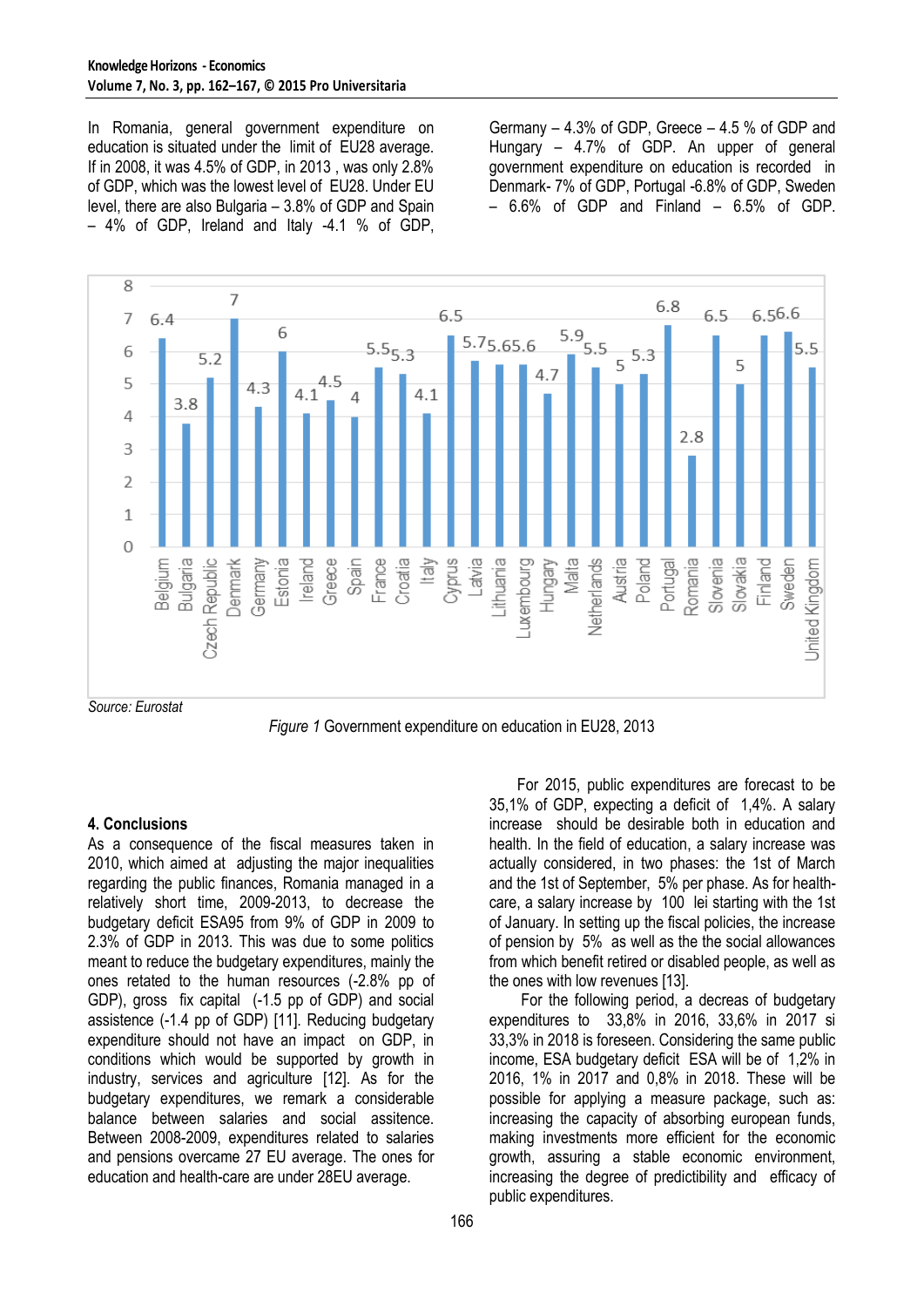In Romania, general government expenditure on education is situated under the limit of EU28 average. If in 2008, it was 4.5% of GDP, in 2013 , was only 2.8% of GDP, which was the lowest level of EU28. Under EU level, there are also Bulgaria – 3.8% of GDP and Spain – 4% of GDP, Ireland and Italy -4.1 % of GDP,

Germany – 4.3% of GDP, Greece – 4.5 % of GDP and Hungary – 4.7% of GDP. An upper of general government expenditure on education is recorded in Denmark- 7% of GDP, Portugal -6.8% of GDP, Sweden  $-6.6\%$  of GDP and Finland  $-6.5\%$  of GDP.



*Figure 1* Government expenditure on education in EU28, 2013

### **4. Conclusions**

As a consequence of the fiscal measures taken in 2010, which aimed at adjusting the major inequalities regarding the public finances, Romania managed in a relatively short time, 2009-2013, to decrease the budgetary deficit ESA95 from 9% of GDP in 2009 to 2.3% of GDP in 2013. This was due to some politics meant to reduce the budgetary expenditures, mainly the ones retated to the human resources (-2.8% pp of GDP), gross fix capital (-1.5 pp of GDP) and social assistence (-1.4 pp of GDP) [11]. Reducing budgetary expenditure should not have an impact on GDP, in conditions which would be supported by growth in industry, services and agriculture [12]. As for the budgetary expenditures, we remark a considerable balance between salaries and social assitence. Between 2008-2009, expenditures related to salaries and pensions overcame 27 EU average. The ones for education and health-care are under 28EU average.

For 2015, public expenditures are forecast to be 35,1% of GDP, expecting a deficit of 1,4%. A salary increase should be desirable both in education and health. In the field of education, a salary increase was actually considered, in two phases: the 1st of March and the 1st of September, 5% per phase. As for healthcare, a salary increase by 100 lei starting with the 1st of January. In setting up the fiscal policies, the increase of pension by 5% as well as the the social allowances from which benefit retired or disabled people, as well as the ones with low revenues [13].

For the following period, a decreas of budgetary expenditures to 33,8% in 2016, 33,6% in 2017 si 33,3% in 2018 is foreseen. Considering the same public income, ESA budgetary deficit ESA will be of 1,2% in 2016, 1% in 2017 and 0,8% in 2018. These will be possible for applying a measure package, such as: increasing the capacity of absorbing european funds, making investments more efficient for the economic growth, assuring a stable economic environment, increasing the degree of predictibility and efficacy of public expenditures.